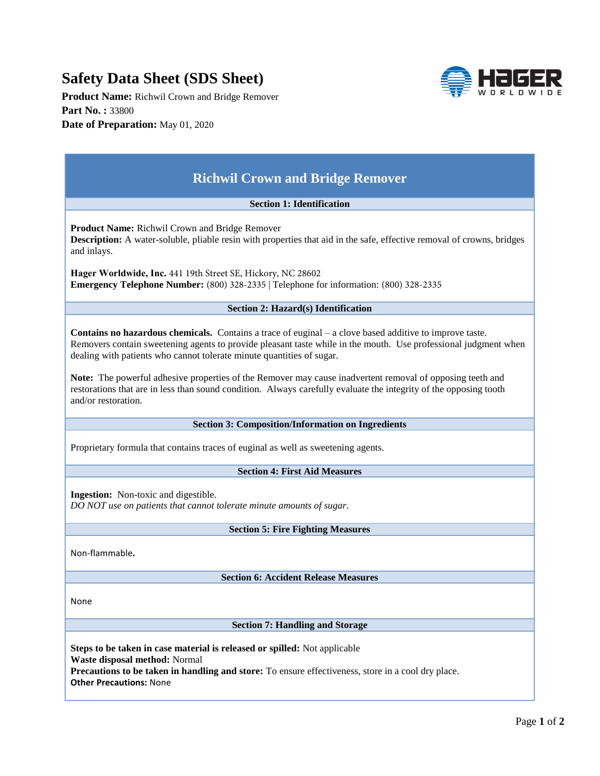## **Safety Data Sheet (SDS Sheet)**

**Product Name:** Richwil Crown and Bridge Remover **Part No. :** 33800 **Date of Preparation:** May 01, 2020

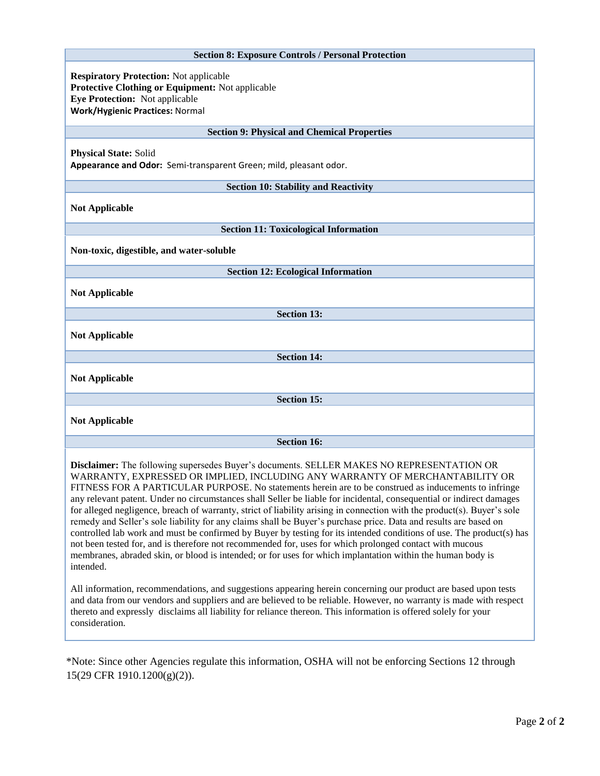| <b>Section 8: Exposure Controls / Personal Protection</b>                                                                                                                                                                                                                                                                                                                                                                                                                                                                                                                                                                                                                                                                                                                                                                                                                                                                                                                                                                                                                                                                                                                                                                                                                                                                                                                                            |
|------------------------------------------------------------------------------------------------------------------------------------------------------------------------------------------------------------------------------------------------------------------------------------------------------------------------------------------------------------------------------------------------------------------------------------------------------------------------------------------------------------------------------------------------------------------------------------------------------------------------------------------------------------------------------------------------------------------------------------------------------------------------------------------------------------------------------------------------------------------------------------------------------------------------------------------------------------------------------------------------------------------------------------------------------------------------------------------------------------------------------------------------------------------------------------------------------------------------------------------------------------------------------------------------------------------------------------------------------------------------------------------------------|
| <b>Respiratory Protection: Not applicable</b><br>Protective Clothing or Equipment: Not applicable<br><b>Eye Protection:</b> Not applicable<br><b>Work/Hygienic Practices: Normal</b>                                                                                                                                                                                                                                                                                                                                                                                                                                                                                                                                                                                                                                                                                                                                                                                                                                                                                                                                                                                                                                                                                                                                                                                                                 |
| <b>Section 9: Physical and Chemical Properties</b>                                                                                                                                                                                                                                                                                                                                                                                                                                                                                                                                                                                                                                                                                                                                                                                                                                                                                                                                                                                                                                                                                                                                                                                                                                                                                                                                                   |
| <b>Physical State: Solid</b><br>Appearance and Odor: Semi-transparent Green; mild, pleasant odor.                                                                                                                                                                                                                                                                                                                                                                                                                                                                                                                                                                                                                                                                                                                                                                                                                                                                                                                                                                                                                                                                                                                                                                                                                                                                                                    |
| <b>Section 10: Stability and Reactivity</b>                                                                                                                                                                                                                                                                                                                                                                                                                                                                                                                                                                                                                                                                                                                                                                                                                                                                                                                                                                                                                                                                                                                                                                                                                                                                                                                                                          |
| <b>Not Applicable</b>                                                                                                                                                                                                                                                                                                                                                                                                                                                                                                                                                                                                                                                                                                                                                                                                                                                                                                                                                                                                                                                                                                                                                                                                                                                                                                                                                                                |
| <b>Section 11: Toxicological Information</b>                                                                                                                                                                                                                                                                                                                                                                                                                                                                                                                                                                                                                                                                                                                                                                                                                                                                                                                                                                                                                                                                                                                                                                                                                                                                                                                                                         |
| Non-toxic, digestible, and water-soluble                                                                                                                                                                                                                                                                                                                                                                                                                                                                                                                                                                                                                                                                                                                                                                                                                                                                                                                                                                                                                                                                                                                                                                                                                                                                                                                                                             |
| <b>Section 12: Ecological Information</b>                                                                                                                                                                                                                                                                                                                                                                                                                                                                                                                                                                                                                                                                                                                                                                                                                                                                                                                                                                                                                                                                                                                                                                                                                                                                                                                                                            |
| <b>Not Applicable</b>                                                                                                                                                                                                                                                                                                                                                                                                                                                                                                                                                                                                                                                                                                                                                                                                                                                                                                                                                                                                                                                                                                                                                                                                                                                                                                                                                                                |
| <b>Section 13:</b>                                                                                                                                                                                                                                                                                                                                                                                                                                                                                                                                                                                                                                                                                                                                                                                                                                                                                                                                                                                                                                                                                                                                                                                                                                                                                                                                                                                   |
| <b>Not Applicable</b>                                                                                                                                                                                                                                                                                                                                                                                                                                                                                                                                                                                                                                                                                                                                                                                                                                                                                                                                                                                                                                                                                                                                                                                                                                                                                                                                                                                |
| <b>Section 14:</b>                                                                                                                                                                                                                                                                                                                                                                                                                                                                                                                                                                                                                                                                                                                                                                                                                                                                                                                                                                                                                                                                                                                                                                                                                                                                                                                                                                                   |
| <b>Not Applicable</b>                                                                                                                                                                                                                                                                                                                                                                                                                                                                                                                                                                                                                                                                                                                                                                                                                                                                                                                                                                                                                                                                                                                                                                                                                                                                                                                                                                                |
| <b>Section 15:</b>                                                                                                                                                                                                                                                                                                                                                                                                                                                                                                                                                                                                                                                                                                                                                                                                                                                                                                                                                                                                                                                                                                                                                                                                                                                                                                                                                                                   |
| <b>Not Applicable</b>                                                                                                                                                                                                                                                                                                                                                                                                                                                                                                                                                                                                                                                                                                                                                                                                                                                                                                                                                                                                                                                                                                                                                                                                                                                                                                                                                                                |
| <b>Section 16:</b>                                                                                                                                                                                                                                                                                                                                                                                                                                                                                                                                                                                                                                                                                                                                                                                                                                                                                                                                                                                                                                                                                                                                                                                                                                                                                                                                                                                   |
| Disclaimer: The following supersedes Buyer's documents. SELLER MAKES NO REPRESENTATION OR<br>WARRANTY, EXPRESSED OR IMPLIED, INCLUDING ANY WARRANTY OF MERCHANTABILITY OR<br>FITNESS FOR A PARTICULAR PURPOSE. No statements herein are to be construed as inducements to infringe<br>any relevant patent. Under no circumstances shall Seller be liable for incidental, consequential or indirect damages<br>for alleged negligence, breach of warranty, strict of liability arising in connection with the product(s). Buyer's sole<br>remedy and Seller's sole liability for any claims shall be Buyer's purchase price. Data and results are based on<br>controlled lab work and must be confirmed by Buyer by testing for its intended conditions of use. The product(s) has<br>not been tested for, and is therefore not recommended for, uses for which prolonged contact with mucous<br>membranes, abraded skin, or blood is intended; or for uses for which implantation within the human body is<br>intended.<br>All information, recommendations, and suggestions appearing herein concerning our product are based upon tests<br>and data from our vendors and suppliers and are believed to be reliable. However, no warranty is made with respect<br>thereto and expressly disclaims all liability for reliance thereon. This information is offered solely for your<br>consideration. |

\*Note: Since other Agencies regulate this information, OSHA will not be enforcing Sections 12 through 15(29 CFR 1910.1200(g)(2)).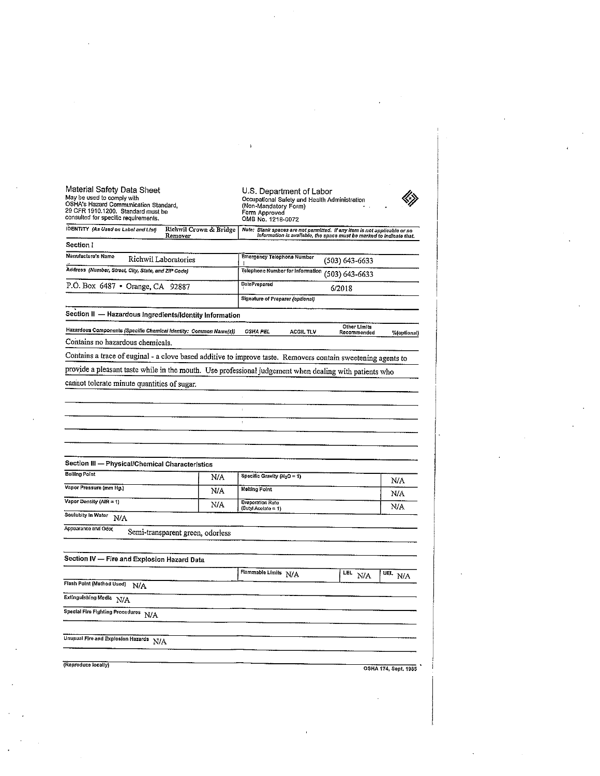| Material Safety Data Sheet<br>May be used to comply with<br>OSHA's Hazard Communication Standard,<br>29 CFR 1910.1200. Standard must be<br>consulted for specific requirements. |                                   | U.S. Department of Labor<br>Occupational Safety and Health Administration<br>(Non-Mandatory Form)<br>Form Approved<br>OMB No. 1218-0072           |                             |                             |  |
|---------------------------------------------------------------------------------------------------------------------------------------------------------------------------------|-----------------------------------|---------------------------------------------------------------------------------------------------------------------------------------------------|-----------------------------|-----------------------------|--|
| IDENTITY (As Used on Label and List)                                                                                                                                            | Richwil Crown & Bridge<br>Remover | Note: Blank spaces are not permitted. If any item is not applicable or no<br>Information is available, the space must be marked to indicate that. |                             |                             |  |
| Section !                                                                                                                                                                       |                                   |                                                                                                                                                   |                             |                             |  |
| Manufacture's Name<br>Richwil Laboratories                                                                                                                                      |                                   | <b>Emergency Telephone Number</b>                                                                                                                 | $(503) 643 - 6633$          |                             |  |
| Address (Number, Street, City, State, and ZIP Code)                                                                                                                             |                                   | Telephone Number for Information                                                                                                                  | (503) 643-6633              |                             |  |
| P.O. Box 6487 • Orange, CA 92887                                                                                                                                                |                                   | <b>DatePrepared</b>                                                                                                                               | 6/2018                      |                             |  |
|                                                                                                                                                                                 |                                   | Signature of Preparer (optional)                                                                                                                  |                             |                             |  |
| Section II - Hazardous Ingredients/Identity Information                                                                                                                         |                                   |                                                                                                                                                   |                             |                             |  |
| Hazardous Components (Specific Chemical Identity: Common Name(s))                                                                                                               |                                   | <b>OSHA PEL</b><br>ACGIL TLV                                                                                                                      | Other Limits<br>Recommended | %(optional)                 |  |
| Contains no hazardous chemicals.                                                                                                                                                |                                   |                                                                                                                                                   |                             |                             |  |
| Contains a trace of euginal - a clove based additive to improve taste. Removers contain sweetening agents to                                                                    |                                   |                                                                                                                                                   |                             |                             |  |
| provide a pleasant taste while in the mouth. Use professional judgement when dealing with patients who                                                                          |                                   |                                                                                                                                                   |                             |                             |  |
|                                                                                                                                                                                 |                                   |                                                                                                                                                   |                             |                             |  |
| cannot tolerate minute quantities of sugar.                                                                                                                                     |                                   |                                                                                                                                                   |                             |                             |  |
|                                                                                                                                                                                 |                                   |                                                                                                                                                   |                             |                             |  |
|                                                                                                                                                                                 |                                   | $\mathcal{L}_{\mathcal{L}}$                                                                                                                       |                             |                             |  |
|                                                                                                                                                                                 |                                   | $\ddot{\phantom{1}}$                                                                                                                              |                             |                             |  |
|                                                                                                                                                                                 |                                   |                                                                                                                                                   |                             |                             |  |
|                                                                                                                                                                                 |                                   |                                                                                                                                                   |                             |                             |  |
| Section III - Physical/Chemical Characteristics                                                                                                                                 |                                   |                                                                                                                                                   |                             |                             |  |
| <b>Boiling Point</b>                                                                                                                                                            | N/A                               | Specific Gravity $(H_2O = 1)$                                                                                                                     |                             | N/A                         |  |
| Vapor Pressure (mm Hg.)                                                                                                                                                         | N/A                               | <b>Melting Point</b>                                                                                                                              |                             | N/A                         |  |
| Vapor Density (AIR = 1)                                                                                                                                                         | N/A                               | <b>Evaporation Rate</b><br>(Butyl Acetate = 1)                                                                                                    |                             | N/A                         |  |
| Soulubity In Water N/A                                                                                                                                                          |                                   |                                                                                                                                                   |                             |                             |  |
| Appearance and Odor                                                                                                                                                             | Semi-transparent green, odorless  |                                                                                                                                                   |                             |                             |  |
|                                                                                                                                                                                 |                                   |                                                                                                                                                   |                             |                             |  |
| Section IV - Fire and Explosion Hazard Data                                                                                                                                     |                                   |                                                                                                                                                   |                             |                             |  |
|                                                                                                                                                                                 |                                   | Flammable Limits N/A                                                                                                                              | $\overline{\text{LEL}}$ N/A | $\overline{\text{UEL}}$ N/A |  |
| Flash Point (Method Used) N/A                                                                                                                                                   |                                   |                                                                                                                                                   |                             |                             |  |
| Extinguishing Media N/A                                                                                                                                                         |                                   |                                                                                                                                                   |                             |                             |  |
| Special Fire Fighting Procedures N/A                                                                                                                                            |                                   |                                                                                                                                                   |                             |                             |  |
|                                                                                                                                                                                 |                                   |                                                                                                                                                   |                             |                             |  |
| Unusual Fire and Explosion Hazards N/A                                                                                                                                          |                                   |                                                                                                                                                   |                             |                             |  |
| (Reproduce locally)                                                                                                                                                             |                                   |                                                                                                                                                   |                             | OSHA 174, Sept. 1985        |  |
|                                                                                                                                                                                 |                                   |                                                                                                                                                   |                             |                             |  |
|                                                                                                                                                                                 |                                   |                                                                                                                                                   |                             |                             |  |

 $\sim 10^{11}$  km s  $^{-1}$ 

 $\label{eq:2.1} \frac{1}{\sqrt{2}}\int_{\mathbb{R}^3}\frac{1}{\sqrt{2}}\left(\frac{1}{\sqrt{2}}\right)^2\frac{1}{\sqrt{2}}\left(\frac{1}{\sqrt{2}}\right)^2\frac{1}{\sqrt{2}}\left(\frac{1}{\sqrt{2}}\right)^2\frac{1}{\sqrt{2}}\left(\frac{1}{\sqrt{2}}\right)^2.$ 

 $\mathcal{L}^{\text{max}}_{\text{max}}$  and  $\mathcal{L}^{\text{max}}_{\text{max}}$